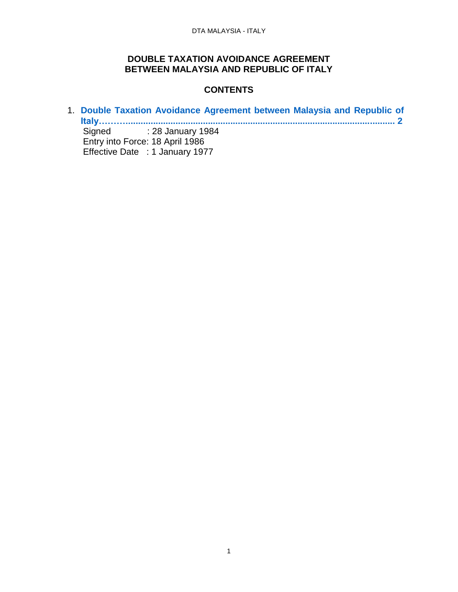## **DOUBLE TAXATION AVOIDANCE AGREEMENT BETWEEN MALAYSIA AND REPUBLIC OF ITALY**

# <span id="page-0-0"></span>**CONTENTS**

1. **[Double Taxation Avoidance Agreement between Malaysia and Republic of](#page-0-0)  [Italy………............................................................................................................](#page-0-0) 2** Signed : 28 January 1984 Entry into Force: 18 April 1986 Effective Date : 1 January 1977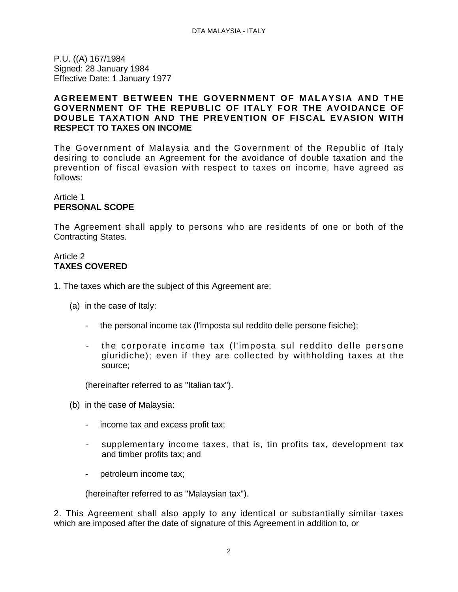P.U. ((A) 167/1984 Signed: 28 January 1984 Effective Date: 1 January 1977

#### **AGREEMENT BETWEEN THE GOVERNMENT OF MALAYSIA AND THE GOVERNMENT OF THE REPUBLIC OF ITALY FOR THE AVOIDANCE OF DOUBLE TAXATION AND THE PREVENTION OF FISCAL EVASION WITH RESPECT TO TAXES ON INCOME**

The Government of Malaysia and the Government of the Republic of Italy desiring to conclude an Agreement for the avoidance of double taxation and the prevention of fiscal evasion with respect to taxes on income, have agreed as follows:

## Article 1 **PERSONAL SCOPE**

The Agreement shall apply to persons who are residents of one or both of the Contracting States.

#### Article 2 **TAXES COVERED**

- 1. The taxes which are the subject of this Agreement are:
	- (a) in the case of Italy:
		- the personal income tax (l'imposta sul reddito delle persone fisiche);
		- the corporate income tax (l'imposta sul reddito delle persone giuridiche); even if they are collected by withholding taxes at the source;

(hereinafter referred to as "Italian tax").

- (b) in the case of Malaysia:
	- income tax and excess profit tax;
	- supplementary income taxes, that is, tin profits tax, development tax and timber profits tax; and
	- petroleum income tax;

(hereinafter referred to as "Malaysian tax").

2. This Agreement shall also apply to any identical or substantially similar taxes which are imposed after the date of signature of this Agreement in addition to, or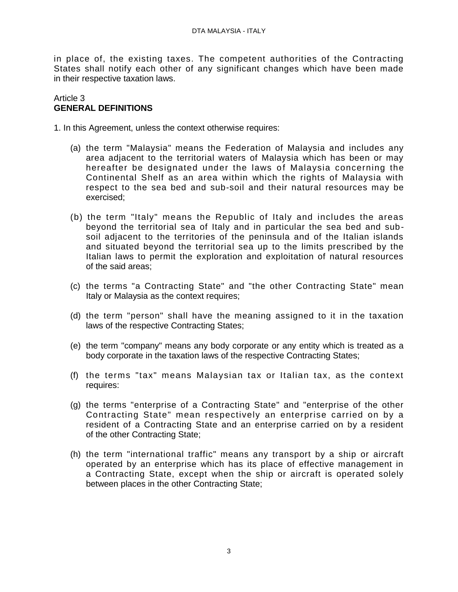in place of, the existing taxes. The competent authorities of the Contracting States shall notify each other of any significant changes which have been made in their respective taxation laws.

#### Article 3 **GENERAL DEFINITIONS**

1. In this Agreement, unless the context otherwise requires:

- (a) the term "Malaysia" means the Federation of Malaysia and includes any area adjacent to the territorial waters of Malaysia which has been or may hereafter be designated under the laws of Malaysia concerning the Continental Shelf as an area within which the rights of Malaysia with respect to the sea bed and sub-soil and their natural resources may be exercised;
- (b) the term "Italy" means the Republic of Italy and includes the areas beyond the territorial sea of Italy and in particular the sea bed and subsoil adjacent to the territories of the peninsula and of the Italian islands and situated beyond the territorial sea up to the limits prescribed by the Italian laws to permit the exploration and exploitation of natural resources of the said areas;
- (c) the terms "a Contracting State" and "the other Contracting State" mean Italy or Malaysia as the context requires;
- (d) the term "person" shall have the meaning assigned to it in the taxation laws of the respective Contracting States;
- (e) the term "company" means any body corporate or any entity which is treated as a body corporate in the taxation laws of the respective Contracting States;
- (f) the terms "tax" means Malaysian tax or Italian tax, as the context requires:
- (g) the terms "enterprise of a Contracting State" and "enterprise of the other Contracting State" mean respectively an enterprise carried on by a resident of a Contracting State and an enterprise carried on by a resident of the other Contracting State;
- (h) the term "international traffic" means any transport by a ship or aircraft operated by an enterprise which has its place of effective management in a Contracting State, except when the ship or aircraft is operated solely between places in the other Contracting State;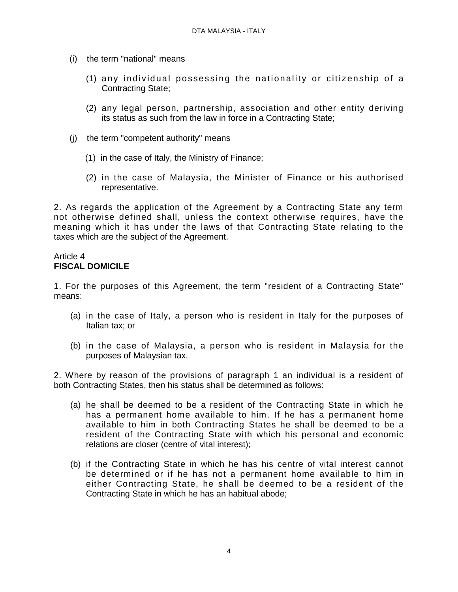- (i) the term "national" means
	- (1) any individual possessing the nationality or citizenship of a Contracting State;
	- (2) any legal person, partnership, association and other entity deriving its status as such from the law in force in a Contracting State;
- (j) the term "competent authority" means
	- (1) in the case of Italy, the Ministry of Finance;
	- (2) in the case of Malaysia, the Minister of Finance or his authorised representative.

2. As regards the application of the Agreement by a Contracting State any term not otherwise defined shall, unless the context otherwise requires, have the meaning which it has under the laws of that Contracting State relating to the taxes which are the subject of the Agreement.

#### Article 4 **FISCAL DOMICILE**

1. For the purposes of this Agreement, the term "resident of a Contracting State" means:

- (a) in the case of Italy, a person who is resident in Italy for the purposes of Italian tax; or
- (b) in the case of Malaysia, a person who is resident in Malaysia for the purposes of Malaysian tax.

2. Where by reason of the provisions of paragraph 1 an individual is a resident of both Contracting States, then his status shall be determined as follows:

- (a) he shall be deemed to be a resident of the Contracting State in which he has a permanent home available to him. If he has a permanent home available to him in both Contracting States he shall be deemed to be a resident of the Contracting State with which his personal and economic relations are closer (centre of vital interest);
- (b) if the Contracting State in which he has his centre of vital interest cannot be determined or if he has not a permanent home available to him in either Contracting State, he shall be deemed to be a resident of the Contracting State in which he has an habitual abode;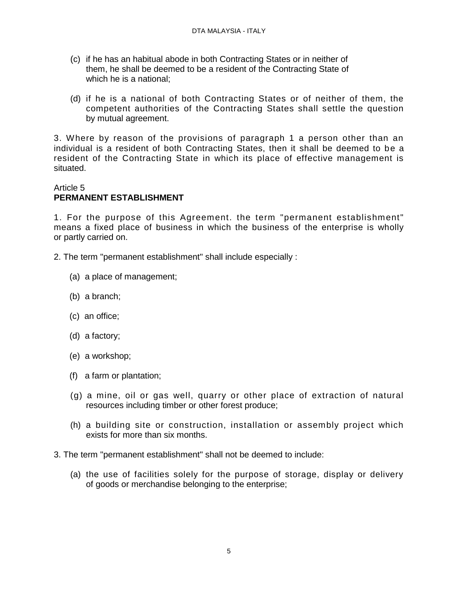- (c) if he has an habitual abode in both Contracting States or in neither of them, he shall be deemed to be a resident of the Contracting State of which he is a national;
- (d) if he is a national of both Contracting States or of neither of them, the competent authorities of the Contracting States shall settle the question by mutual agreement.

3. Where by reason of the provisions of paragraph 1 a person other than an individual is a resident of both Contracting States, then it shall be deemed to be a resident of the Contracting State in which its place of effective management is situated.

## Article 5 **PERMANENT ESTABLISHMENT**

1. For the purpose of this Agreement. the term "permanent establishment" means a fixed place of business in which the business of the enterprise is wholly or partly carried on.

- 2. The term "permanent establishment" shall include especially :
	- (a) a place of management;
	- (b) a branch;
	- (c) an office;
	- (d) a factory;
	- (e) a workshop;
	- (f) a farm or plantation;
	- (g) a mine, oil or gas well, quarry or other place of extraction of natural resources including timber or other forest produce;
	- (h) a building site or construction, installation or assembly project which exists for more than six months.
- 3. The term "permanent establishment" shall not be deemed to include:
	- (a) the use of facilities solely for the purpose of storage, display or delivery of goods or merchandise belonging to the enterprise;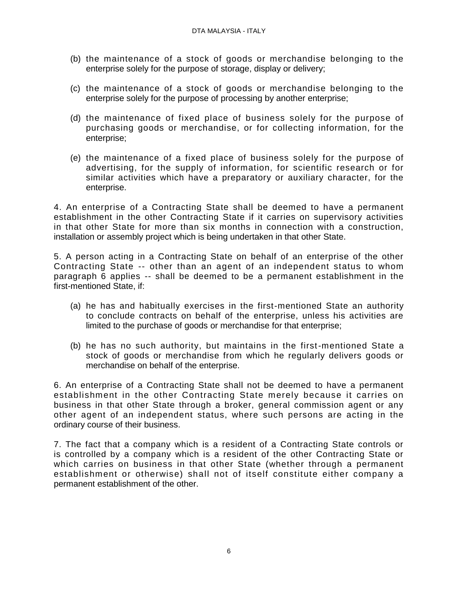- (b) the maintenance of a stock of goods or merchandise belonging to the enterprise solely for the purpose of storage, display or delivery;
- (c) the maintenance of a stock of goods or merchandise belonging to the enterprise solely for the purpose of processing by another enterprise;
- (d) the maintenance of fixed place of business solely for the purpose of purchasing goods or merchandise, or for collecting information, for the enterprise;
- (e) the maintenance of a fixed place of business solely for the purpose of advertising, for the supply of information, for scientific research or for similar activities which have a preparatory or auxiliary character, for the enterprise.

4. An enterprise of a Contracting State shall be deemed to have a permanent establishment in the other Contracting State if it carries on supervisory activities in that other State for more than six months in connection with a construction, installation or assembly project which is being undertaken in that other State.

5. A person acting in a Contracting State on behalf of an enterprise of the other Contracting State -- other than an agent of an independent status to whom paragraph 6 applies -- shall be deemed to be a permanent establishment in the first-mentioned State, if:

- (a) he has and habitually exercises in the first-mentioned State an authority to conclude contracts on behalf of the enterprise, unless his activities are limited to the purchase of goods or merchandise for that enterprise;
- (b) he has no such authority, but maintains in the first-mentioned State a stock of goods or merchandise from which he regularly delivers goods or merchandise on behalf of the enterprise.

6. An enterprise of a Contracting State shall not be deemed to have a permanent establishment in the other Contracting State merely because it carries on business in that other State through a broker, general commission agent or any other agent of an independent status, where such persons are acting in the ordinary course of their business.

7. The fact that a company which is a resident of a Contracting State controls or is controlled by a company which is a resident of the other Contracting State or which carries on business in that other State (whether through a permanent establishment or otherwise) shall not of itself constitute either company a permanent establishment of the other.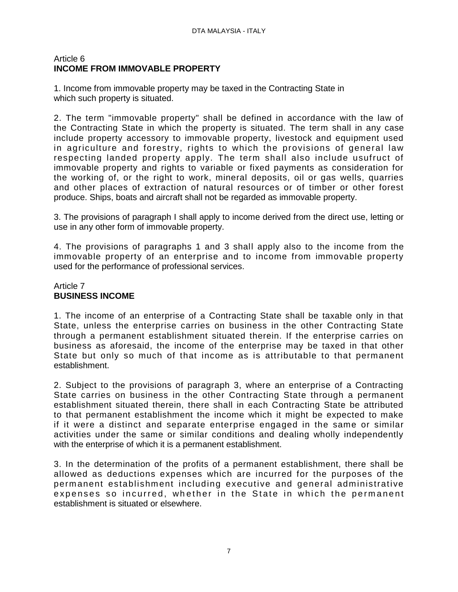## Article 6 **INCOME FROM IMMOVABLE PROPERTY**

1. Income from immovable property may be taxed in the Contracting State in which such property is situated.

2. The term "immovable property" shall be defined in accordance with the law of the Contracting State in which the property is situated. The term shall in any case include property accessory to immovable property, livestock and equipment used in agriculture and forestry, rights to which the provisions of general law respecting landed property apply. The term shall also include usufruct of immovable property and rights to variable or fixed payments as consideration for the working of, or the right to work, mineral deposits, oil or gas wells, quarries and other places of extraction of natural resources or of timber or other forest produce. Ships, boats and aircraft shall not be regarded as immovable property.

3. The provisions of paragraph I shall apply to income derived from the direct use, letting or use in any other form of immovable property.

4. The provisions of paragraphs 1 and 3 shall apply also to the income from the immovable property of an enterprise and to income from immovable property used for the performance of professional services.

## Article 7 **BUSINESS INCOME**

1. The income of an enterprise of a Contracting State shall be taxable only in that State, unless the enterprise carries on business in the other Contracting State through a permanent establishment situated therein. If the enterprise carries on business as aforesaid, the income of the enterprise may be taxed in that other State but only so much of that income as is attributable to that permanent establishment.

2. Subject to the provisions of paragraph 3, where an enterprise of a Contracting State carries on business in the other Contracting State through a permanent establishment situated therein, there shall in each Contracting State be attributed to that permanent establishment the income which it might be expected to make if it were a distinct and separate enterprise engaged in the same or similar activities under the same or similar conditions and dealing wholly independently with the enterprise of which it is a permanent establishment.

3. In the determination of the profits of a permanent establishment, there shall be allowed as deductions expenses which are incurred for the purposes of the permanent establishment including executive and general administrative expenses so incurred, whether in the State in which the permanent establishment is situated or elsewhere.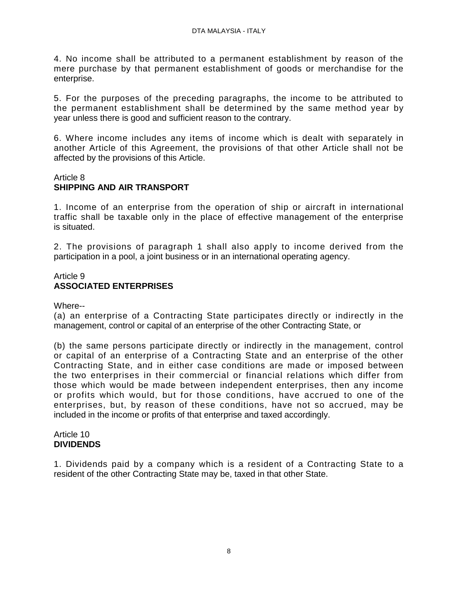4. No income shall be attributed to a permanent establishment by reason of the mere purchase by that permanent establishment of goods or merchandise for the enterprise.

5. For the purposes of the preceding paragraphs, the income to be attributed to the permanent establishment shall be determined by the same method year by year unless there is good and sufficient reason to the contrary.

6. Where income includes any items of income which is dealt with separately in another Article of this Agreement, the provisions of that other Article shall not be affected by the provisions of this Article.

### Article 8 **SHIPPING AND AIR TRANSPORT**

1. Income of an enterprise from the operation of ship or aircraft in international traffic shall be taxable only in the place of effective management of the enterprise is situated.

2. The provisions of paragraph 1 shall also apply to income derived from the participation in a pool, a joint business or in an international operating agency.

## Article 9 **ASSOCIATED ENTERPRISES**

Where--

(a) an enterprise of a Contracting State participates directly or indirectly in the management, control or capital of an enterprise of the other Contracting State, or

(b) the same persons participate directly or indirectly in the management, control or capital of an enterprise of a Contracting State and an enterprise of the other Contracting State, and in either case conditions are made or imposed between the two enterprises in their commercial or financial relations which differ from those which would be made between independent enterprises, then any income or profits which would, but for those conditions, have accrued to one of the enterprises, but, by reason of these conditions, have not so accrued, may be included in the income or profits of that enterprise and taxed accordingly.

### Article 10 **DIVIDENDS**

1. Dividends paid by a company which is a resident of a Contracting State to a resident of the other Contracting State may be, taxed in that other State.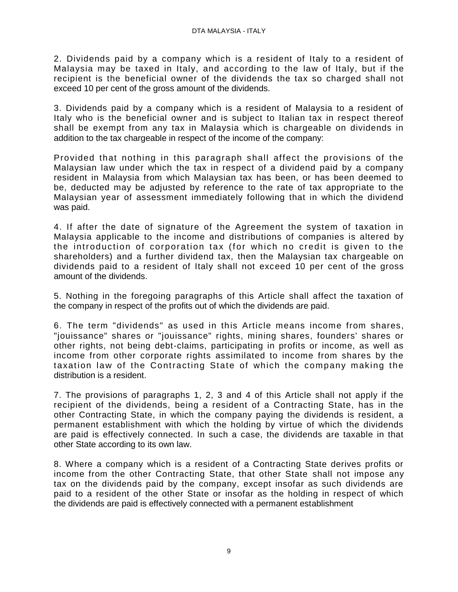2. Dividends paid by a company which is a resident of Italy to a resident of Malaysia may be taxed in Italy, and according to the law of Italy, but if the recipient is the beneficial owner of the dividends the tax so charged shall not exceed 10 per cent of the gross amount of the dividends.

3. Dividends paid by a company which is a resident of Malaysia to a resident of Italy who is the beneficial owner and is subject to Italian tax in respect thereof shall be exempt from any tax in Malaysia which is chargeable on dividends in addition to the tax chargeable in respect of the income of the company:

Provided that nothing in this paragraph shall affect the provisions of the Malaysian law under which the tax in respect of a dividend paid by a company resident in Malaysia from which Malaysian tax has been, or has been deemed to be, deducted may be adjusted by reference to the rate of tax appropriate to the Malaysian year of assessment immediately following that in which the dividend was paid.

4. If after the date of signature of the Agreement the system of taxation in Malaysia applicable to the income and distributions of companies is altered by the introduction of corporation tax (for which no credit is given to the shareholders) and a further dividend tax, then the Malaysian tax chargeable on dividends paid to a resident of Italy shall not exceed 10 per cent of the gross amount of the dividends.

5. Nothing in the foregoing paragraphs of this Article shall affect the taxation of the company in respect of the profits out of which the dividends are paid.

6. The term "dividends" as used in this Article means income from shares, "jouissance" shares or "jouissance" rights, mining shares, founders' shares or other rights, not being debt-claims, participating in profits or income, as well as income from other corporate rights assimilated to income from shares by the taxation law of the Contracting State of which the company making the distribution is a resident.

7. The provisions of paragraphs 1, 2, 3 and 4 of this Article shall not apply if the recipient of the dividends, being a resident of a Contracting State, has in the other Contracting State, in which the company paying the dividends is resident, a permanent establishment with which the holding by virtue of which the dividends are paid is effectively connected. In such a case, the dividends are taxable in that other State according to its own law.

8. Where a company which is a resident of a Contracting State derives profits or income from the other Contracting State, that other State shall not impose any tax on the dividends paid by the company, except insofar as such dividends are paid to a resident of the other State or insofar as the holding in respect of which the dividends are paid is effectively connected with a permanent establishment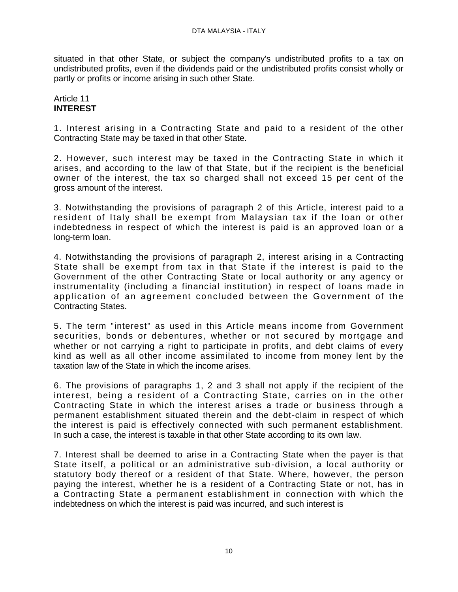situated in that other State, or subject the company's undistributed profits to a tax on undistributed profits, even if the dividends paid or the undistributed profits consist wholly or partly or profits or income arising in such other State.

#### Article 11 **INTEREST**

1. Interest arising in a Contracting State and paid to a resident of the other Contracting State may be taxed in that other State.

2. However, such interest may be taxed in the Contracting State in which it arises, and according to the law of that State, but if the recipient is the beneficial owner of the interest, the tax so charged shall not exceed 15 per cent of the gross amount of the interest.

3. Notwithstanding the provisions of paragraph 2 of this Article, interest paid to a resident of Italy shall be exempt from Malaysian tax if the loan or other indebtedness in respect of which the interest is paid is an approved loan or a long-term loan.

4. Notwithstanding the provisions of paragraph 2, interest arising in a Contracting State shall be exempt from tax in that State if the interest is paid to the Government of the other Contracting State or local authority or any agency or instrumentality (including a financial institution) in respect of loans made in application of an agreement concluded between the Government of the Contracting States.

5. The term "interest" as used in this Article means income from Government securities, bonds or debentures, whether or not secured by mortgage and whether or not carrying a right to participate in profits, and debt claims of every kind as well as all other income assimilated to income from money lent by the taxation law of the State in which the income arises.

6. The provisions of paragraphs 1, 2 and 3 shall not apply if the recipient of the interest, being a resident of a Contracting State, carries on in the other Contracting State in which the interest arises a trade or business through a permanent establishment situated therein and the debt-claim in respect of which the interest is paid is effectively connected with such permanent establishment. In such a case, the interest is taxable in that other State according to its own law.

7. Interest shall be deemed to arise in a Contracting State when the payer is that State itself, a political or an administrative sub-division, a local authority or statutory body thereof or a resident of that State. Where, however, the person paying the interest, whether he is a resident of a Contracting State or not, has in a Contracting State a permanent establishment in connection with which the indebtedness on which the interest is paid was incurred, and such interest is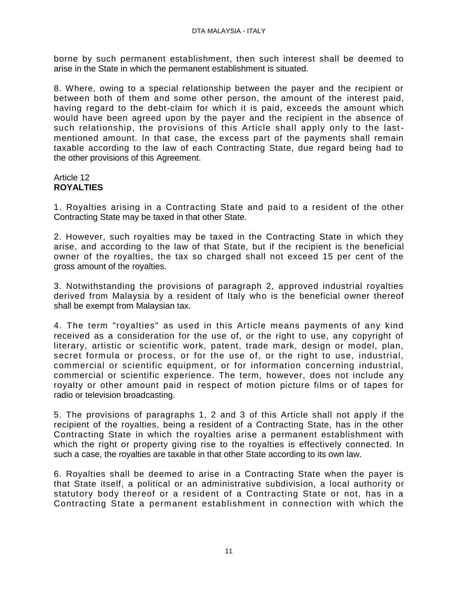borne by such permanent establishment, then such interest shall be deemed to arise in the State in which the permanent establishment is situated.

8. Where, owing to a special relationship between the payer and the recipient or between both of them and some other person, the amount of the interest paid, having regard to the debt-claim for which it is paid, exceeds the amount which would have been agreed upon by the payer and the recipient in the absence of such relationship, the provisions of this Article shall apply only to the last mentioned amount. In that case, the excess part of the payments shall remain taxable according to the law of each Contracting State, due regard being had to the other provisions of this Agreement.

## Article 12 **ROYALTIES**

1. Royalties arising in a Contracting State and paid to a resident of the other Contracting State may be taxed in that other State.

2. However, such royalties may be taxed in the Contracting State in which they arise, and according to the law of that State, but if the recipient is the beneficial owner of the royalties, the tax so charged shall not exceed 15 per cent of the gross amount of the royalties.

3. Notwithstanding the provisions of paragraph 2, approved industrial royalties derived from Malaysia by a resident of Italy who is the beneficial owner thereof shall be exempt from Malaysian tax.

4. The term "royalties" as used in this Article means payments of any kind received as a consideration for the use of, or the right to use, any copyright of literary, artistic or scientific work, patent, trade mark, design or model, plan, secret formula or process, or for the use of, or the right to use, industrial, commercial or scientific equipment, or for information concerning industrial, commercial or scientific experience. The term, however, does not include any royalty or other amount paid in respect of motion picture films or of tapes for radio or television broadcasting.

5. The provisions of paragraphs 1, 2 and 3 of this Article shall not apply if the recipient of the royalties, being a resident of a Contracting State, has in the other Contracting State in which the royalties arise a permanent establishment with which the right or property giving rise to the royalties is effectively connected. In such a case, the royalties are taxable in that other State according to its own law.

6. Royalties shall be deemed to arise in a Contracting State when the payer is that State itself, a political or an administrative subdivision, a local authority or statutory body thereof or a resident of a Contracting State or not, has in a Contracting State a permanent establishment in connection with which the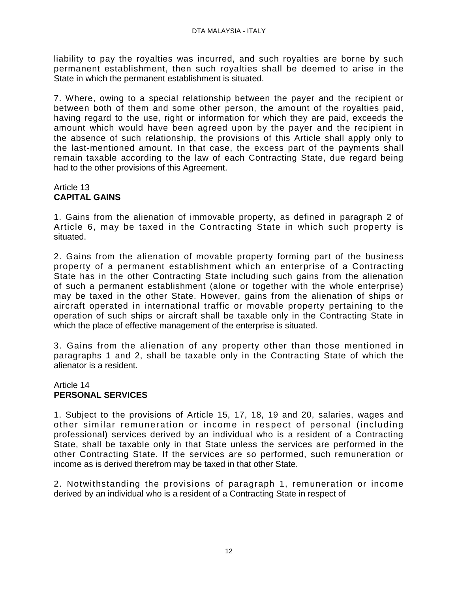liability to pay the royalties was incurred, and such royalties are borne by such permanent establishment, then such royalties shall be deemed to arise in the State in which the permanent establishment is situated.

7. Where, owing to a special relationship between the payer and the recipient or between both of them and some other person, the amount of the royalties paid, having regard to the use, right or information for which they are paid, exceeds the amount which would have been agreed upon by the payer and the recipient in the absence of such relationship, the provisions of this Article shall apply only to the last-mentioned amount. In that case, the excess part of the payments shall remain taxable according to the law of each Contracting State, due regard being had to the other provisions of this Agreement.

# Article 13 **CAPITAL GAINS**

1. Gains from the alienation of immovable property, as defined in paragraph 2 of Article 6, may be taxed in the Contracting State in which such property is situated.

2. Gains from the alienation of movable property forming part of the business property of a permanent establishment which an enterprise of a Contracting State has in the other Contracting State including such gains from the alienation of such a permanent establishment (alone or together with the whole enterprise) may be taxed in the other State. However, gains from the alienation of ships or aircraft operated in international traffic or movable property pertaining to the operation of such ships or aircraft shall be taxable only in the Contracting State in which the place of effective management of the enterprise is situated.

3. Gains from the alienation of any property other than those mentioned in paragraphs 1 and 2, shall be taxable only in the Contracting State of which the alienator is a resident.

# Article 14 **PERSONAL SERVICES**

1. Subject to the provisions of Article 15, 17, 18, 19 and 20, salaries, wages and other sim ilar rem uneration or income in respect of personal (including professional) services derived by an individual who is a resident of a Contracting State, shall be taxable only in that State unless the services are performed in the other Contracting State. If the services are so performed, such remuneration or income as is derived therefrom may be taxed in that other State.

2. Notwithstanding the provisions of paragraph 1, remuneration or income derived by an individual who is a resident of a Contracting State in respect of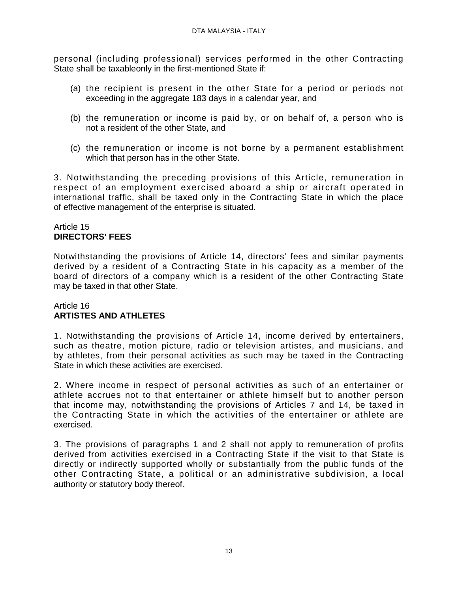personal (including professional) services performed in the other Contracting State shall be taxableonly in the first-mentioned State if:

- (a) the recipient is present in the other State for a period or periods not exceeding in the aggregate 183 days in a calendar year, and
- (b) the remuneration or income is paid by, or on behalf of, a person who is not a resident of the other State, and
- (c) the remuneration or income is not borne by a permanent establishment which that person has in the other State.

3. Notwithstanding the preceding provisions of this Article, remuneration in respect of an employment exercised aboard a ship or aircraft operated in international traffic, shall be taxed only in the Contracting State in which the place of effective management of the enterprise is situated.

## Article 15 **DIRECTORS' FEES**

Notwithstanding the provisions of Article 14, directors' fees and similar payments derived by a resident of a Contracting State in his capacity as a member of the board of directors of a company which is a resident of the other Contracting State may be taxed in that other State.

### Article 16 **ARTISTES AND ATHLETES**

1. Notwithstanding the provisions of Article 14, income derived by entertainers, such as theatre, motion picture, radio or television artistes, and musicians, and by athletes, from their personal activities as such may be taxed in the Contracting State in which these activities are exercised.

2. Where income in respect of personal activities as such of an entertainer or athlete accrues not to that entertainer or athlete himself but to another person that income may, notwithstanding the provisions of Articles 7 and 14, be taxed in the Contracting State in which the activities of the entertainer or athlete are exercised.

3. The provisions of paragraphs 1 and 2 shall not apply to remuneration of profits derived from activities exercised in a Contracting State if the visit to that State is directly or indirectly supported wholly or substantially from the public funds of the other Contracting State, a political or an administrative subdivision, a local authority or statutory body thereof.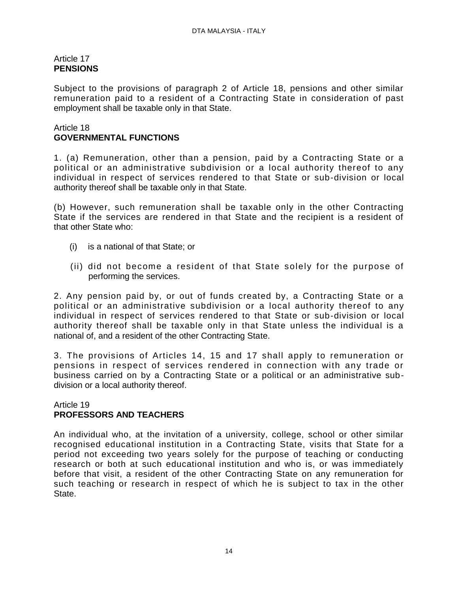## Article 17 **PENSIONS**

Subject to the provisions of paragraph 2 of Article 18, pensions and other similar remuneration paid to a resident of a Contracting State in consideration of past employment shall be taxable only in that State.

## Article 18 **GOVERNMENTAL FUNCTIONS**

1. (a) Remuneration, other than a pension, paid by a Contracting State or a political or an administrative subdivision or a local authority thereof to any individual in respect of services rendered to that State or sub-division or local authority thereof shall be taxable only in that State.

(b) However, such remuneration shall be taxable only in the other Contracting State if the services are rendered in that State and the recipient is a resident of that other State who:

- (i) is a national of that State; or
- (ii) did not become a resident of that State solely for the purpose of performing the services.

2. Any pension paid by, or out of funds created by, a Contracting State or a political or an administrative subdivision or a local authority thereof to any individual in respect of services rendered to that State or sub-division or local authority thereof shall be taxable only in that State unless the individual is a national of, and a resident of the other Contracting State.

3. The provisions of Articles 14, 15 and 17 shall apply to remuneration or pensions in respect of services rendered in connection with any trade or business carried on by a Contracting State or a political or an administrative subdivision or a local authority thereof.

#### Article 19 **PROFESSORS AND TEACHERS**

An individual who, at the invitation of a university, college, school or other similar recognised educational institution in a Contracting State, visits that State for a period not exceeding two years solely for the purpose of teaching or conducting research or both at such educational institution and who is, or was immediately before that visit, a resident of the other Contracting State on any remuneration for such teaching or research in respect of which he is subject to tax in the other State.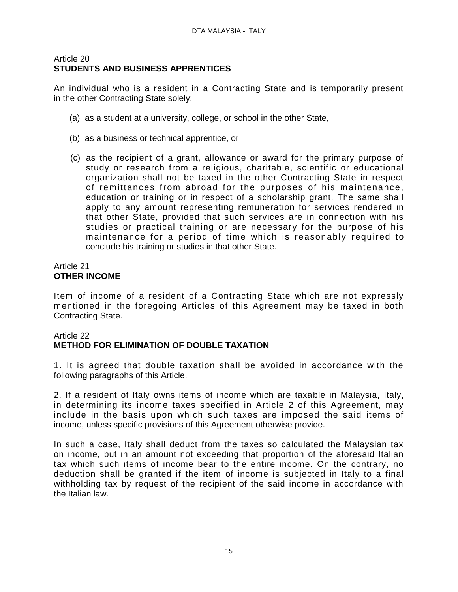### Article 20 **STUDENTS AND BUSINESS APPRENTICES**

An individual who is a resident in a Contracting State and is temporarily present in the other Contracting State solely:

- (a) as a student at a university, college, or school in the other State,
- (b) as a business or technical apprentice, or
- (c) as the recipient of a grant, allowance or award for the primary purpose of study or research from a religious, charitable, scientific or educational organization shall not be taxed in the other Contracting State in respect of remittances from abroad for the purposes of his maintenance, education or training or in respect of a scholarship grant. The same shall apply to any amount representing remuneration for services rendered in that other State, provided that such services are in connection with his studies or practical training or are necessary for the purpose of his maintenance for a period of time which is reasonably required to conclude his training or studies in that other State.

#### Article 21 **OTHER INCOME**

Item of income of a resident of a Contracting State which are not expressly mentioned in the foregoing Articles of this Agreement may be taxed in both Contracting State.

## Article 22 **METHOD FOR ELIMINATION OF DOUBLE TAXATION**

1. It is agreed that double taxation shall be avoided in accordance with the following paragraphs of this Article.

2. If a resident of Italy owns items of income which are taxable in Malaysia, Italy, in determining its income taxes specified in Article 2 of this Agreement, may include in the basis upon which such taxes are imposed the said items of income, unless specific provisions of this Agreement otherwise provide.

In such a case, Italy shall deduct from the taxes so calculated the Malaysian tax on income, but in an amount not exceeding that proportion of the aforesaid Italian tax which such items of income bear to the entire income. On the contrary, no deduction shall be granted if the item of income is subjected in Italy to a final withholding tax by request of the recipient of the said income in accordance with the Italian law.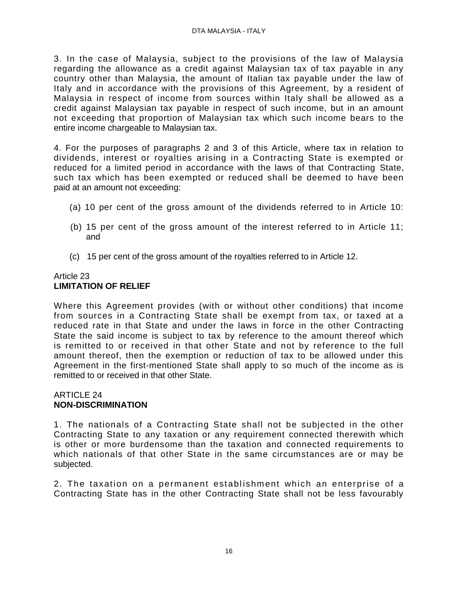3. In the case of Malaysia, subject to the provisions of the law of Malaysia regarding the allowance as a credit against Malaysian tax of tax payable in any country other than Malaysia, the amount of Italian tax payable under the law of Italy and in accordance with the provisions of this Agreement, by a resident of Malaysia in respect of income from sources within Italy shall be allowed as a credit against Malaysian tax payable in respect of such income, but in an amount not exceeding that proportion of Malaysian tax which such income bears to the entire income chargeable to Malaysian tax.

4. For the purposes of paragraphs 2 and 3 of this Article, where tax in relation to dividends, interest or royalties arising in a Contracting State is exempted or reduced for a limited period in accordance with the laws of that Contracting State, such tax which has been exempted or reduced shall be deemed to have been paid at an amount not exceeding:

- (a) 10 per cent of the gross amount of the dividends referred to in Article 10:
- (b) 15 per cent of the gross amount of the interest referred to in Article 11; and
- (c) 15 per cent of the gross amount of the royalties referred to in Article 12.

# Article 23 **LIMITATION OF RELIEF**

Where this Agreement provides (with or without other conditions) that income from sources in a Contracting State shall be exempt from tax, or taxed at a reduced rate in that State and under the laws in force in the other Contracting State the said income is subject to tax by reference to the amount thereof which is remitted to or received in that other State and not by reference to the full amount thereof, then the exemption or reduction of tax to be allowed under this Agreement in the first-mentioned State shall apply to so much of the income as is remitted to or received in that other State.

#### ARTICLE 24 **NON-DISCRIMINATION**

1. The nationals of a Contracting State shall not be subjected in the other Contracting State to any taxation or any requirement connected therewith which is other or more burdensome than the taxation and connected requirements to which nationals of that other State in the same circumstances are or may be subjected.

2. The taxation on a permanent establishment which an enterprise of a Contracting State has in the other Contracting State shall not be less favourably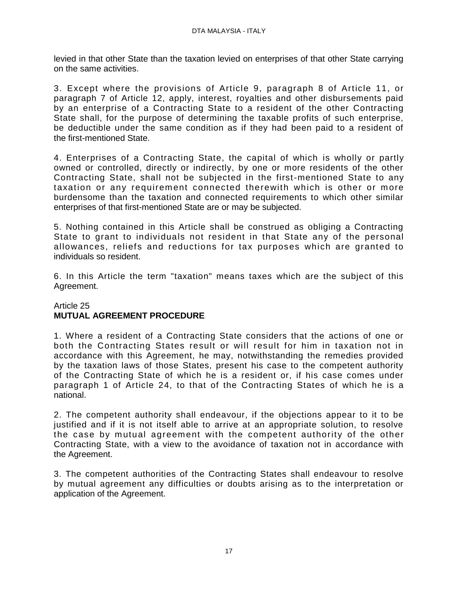levied in that other State than the taxation levied on enterprises of that other State carrying on the same activities.

3. Except where the provisions of Article 9, paragraph 8 of Article 11, or paragraph 7 of Article 12, apply, interest, royalties and other disbursements paid by an enterprise of a Contracting State to a resident of the other Contracting State shall, for the purpose of determining the taxable profits of such enterprise, be deductible under the same condition as if they had been paid to a resident of the first-mentioned State.

4. Enterprises of a Contracting State, the capital of which is wholly or partly owned or controlled, directly or indirectly, by one or more residents of the other Contracting State, shall not be subjected in the first-mentioned State to any taxation or any requirement connected therewith which is other or more burdensome than the taxation and connected requirements to which other similar enterprises of that first-mentioned State are or may be subjected.

5. Nothing contained in this Article shall be construed as obliging a Contracting State to grant to individuals not resident in that State any of the personal allowances, reliefs and reductions for tax purposes which are granted to individuals so resident.

6. In this Article the term "taxation" means taxes which are the subject of this Agreement.

### Article 25 **MUTUAL AGREEMENT PROCEDURE**

1. Where a resident of a Contracting State considers that the actions of one or both the Contracting States result or will result for him in taxation not in accordance with this Agreement, he may, notwithstanding the remedies provided by the taxation laws of those States, present his case to the competent authority of the Contracting State of which he is a resident or, if his case comes under paragraph 1 of Article 24, to that of the Contracting States of which he is a national.

2. The competent authority shall endeavour, if the objections appear to it to be justified and if it is not itself able to arrive at an appropriate solution, to resolve the case by mutual agreement with the competent authority of the other Contracting State, with a view to the avoidance of taxation not in accordance with the Agreement.

3. The competent authorities of the Contracting States shall endeavour to resolve by mutual agreement any difficulties or doubts arising as to the interpretation or application of the Agreement.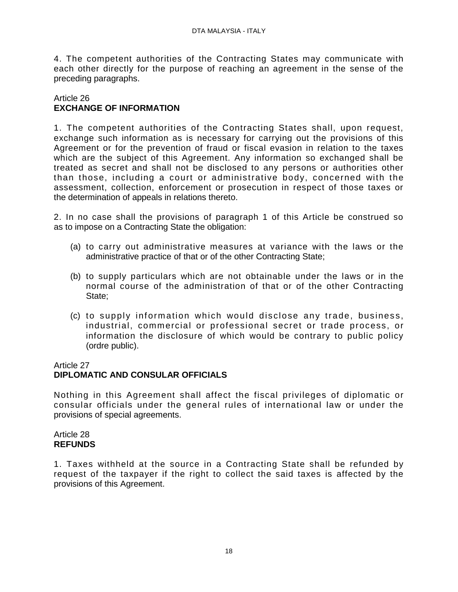4. The competent authorities of the Contracting States may communicate with each other directly for the purpose of reaching an agreement in the sense of the preceding paragraphs.

## Article 26 **EXCHANGE OF INFORMATION**

1. The competent authorities of the Contracting States shall, upon request, exchange such information as is necessary for carrying out the provisions of this Agreement or for the prevention of fraud or fiscal evasion in relation to the taxes which are the subject of this Agreement. Any information so exchanged shall be treated as secret and shall not be disclosed to any persons or authorities other than those, including a court or administrative body, concerned with the assessment, collection, enforcement or prosecution in respect of those taxes or the determination of appeals in relations thereto.

2. In no case shall the provisions of paragraph 1 of this Article be construed so as to impose on a Contracting State the obligation:

- (a) to carry out administrative measures at variance with the laws or the administrative practice of that or of the other Contracting State;
- (b) to supply particulars which are not obtainable under the laws or in the normal course of the administration of that or of the other Contracting State;
- (c) to supply inform ation which would disclose any trade, business, industrial, commercial or professional secret or trade process, or information the disclosure of which would be contrary to public policy (ordre public).

## Article 27

# **DIPLOMATIC AND CONSULAR OFFICIALS**

Nothing in this Agreement shall affect the fiscal privileges of diplomatic or consular officials under the general rules of international law or under the provisions of special agreements.

#### Article 28 **REFUNDS**

1. Taxes withheld at the source in a Contracting State shall be refunded by request of the taxpayer if the right to collect the said taxes is affected by the provisions of this Agreement.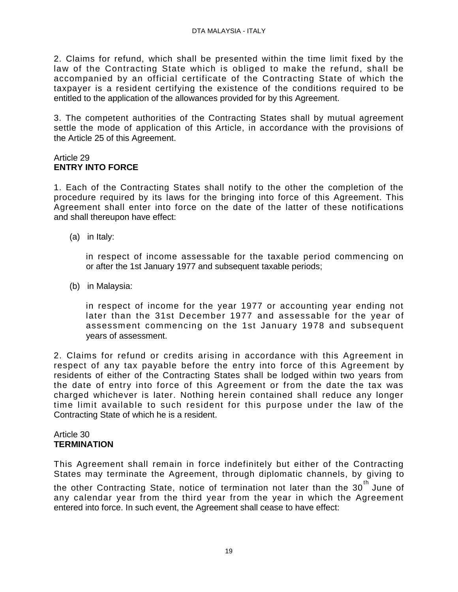2. Claims for refund, which shall be presented within the time limit fixed by the law of the Contracting State which is obliged to make the refund, shall be accompanied by an official certificate of the Contracting State of which the taxpayer is a resident certifying the existence of the conditions required to be entitled to the application of the allowances provided for by this Agreement.

3. The competent authorities of the Contracting States shall by mutual agreement settle the mode of application of this Article, in accordance with the provisions of the Article 25 of this Agreement.

#### Article 29 **ENTRY INTO FORCE**

1. Each of the Contracting States shall notify to the other the completion of the procedure required by its laws for the bringing into force of this Agreement. This Agreement shall enter into force on the date of the latter of these notifications and shall thereupon have effect:

(a) in Italy:

in respect of income assessable for the taxable period commencing on or after the 1st January 1977 and subsequent taxable periods;

(b) in Malaysia:

in respect of income for the year 1977 or accounting year ending not later than the 31st December 1977 and assessable for the year of assessment commencing on the 1st January 1978 and subsequent years of assessment.

2. Claims for refund or credits arising in accordance with this Agreement in respect of any tax payable before the entry into force of this Agreement by residents of either of the Contracting States shall be lodged within two years from the date of entry into force of this Agreement or from the date the tax was charged whichever is later. Nothing herein contained shall reduce any longer time limit available to such resident for this purpose under the law of the Contracting State of which he is a resident.

### Article 30 **TERMINATION**

This Agreement shall remain in force indefinitely but either of the Contracting States may terminate the Agreement, through diplomatic channels, by giving to the other Contracting State, notice of termination not later than the 30<sup>th</sup> June of any calendar year from the third year from the year in which the Agreement entered into force. In such event, the Agreement shall cease to have effect: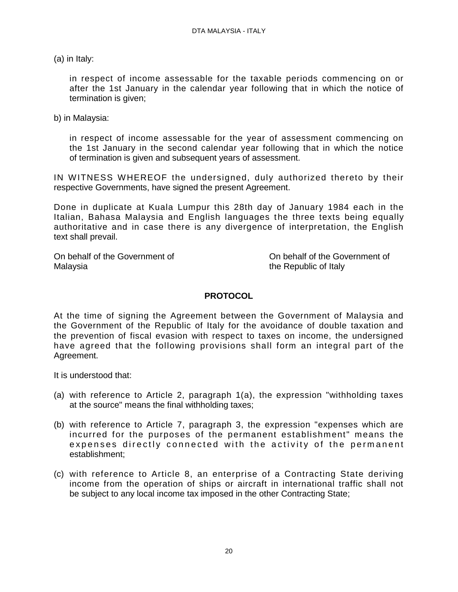(a) in Italy:

in respect of income assessable for the taxable periods commencing on or after the 1st January in the calendar year following that in which the notice of termination is given;

b) in Malaysia:

in respect of income assessable for the year of assessment commencing on the 1st January in the second calendar year following that in which the notice of termination is given and subsequent years of assessment.

IN WITNESS WHEREOF the undersigned, duly authorized thereto by their respective Governments, have signed the present Agreement.

Done in duplicate at Kuala Lumpur this 28th day of January 1984 each in the Italian, Bahasa Malaysia and English languages the three texts being equally authoritative and in case there is any divergence of interpretation, the English text shall prevail.

Malaysia the Republic of Italy

On behalf of the Government of Contract Contract Contract Contract Contract Contract On behalf of the Government of

## **PROTOCOL**

At the time of signing the Agreement between the Government of Malaysia and the Government of the Republic of Italy for the avoidance of double taxation and the prevention of fiscal evasion with respect to taxes on income, the undersigned have agreed that the following provisions shall form an integral part of the Agreement.

It is understood that:

- (a) with reference to Article 2, paragraph 1(a), the expression "withholding taxes at the source" means the final withholding taxes;
- (b) with reference to Article 7, paragraph 3, the expression "expenses which are incurred for the purposes of the permanent establishment" means the expenses directly connected with the activity of the permanent establishment;
- (c) with reference to Article 8, an enterprise of a Contracting State deriving income from the operation of ships or aircraft in international traffic shall not be subject to any local income tax imposed in the other Contracting State;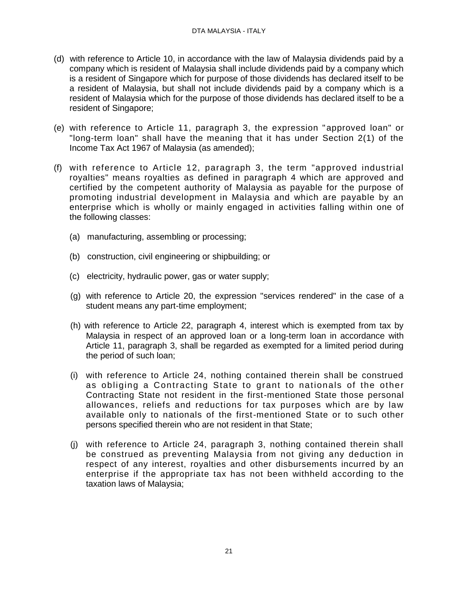- (d) with reference to Article 10, in accordance with the law of Malaysia dividends paid by a company which is resident of Malaysia shall include dividends paid by a company which is a resident of Singapore which for purpose of those dividends has declared itself to be a resident of Malaysia, but shall not include dividends paid by a company which is a resident of Malaysia which for the purpose of those dividends has declared itself to be a resident of Singapore;
- (e) with reference to Article 11, paragraph 3, the expression "approved loan" or "long-term loan" shall have the meaning that it has under Section 2(1) of the Income Tax Act 1967 of Malaysia (as amended);
- (f) with reference to Article 12, paragraph 3, the term "approved industrial royalties" means royalties as defined in paragraph 4 which are approved and certified by the competent authority of Malaysia as payable for the purpose of promoting industrial development in Malaysia and which are payable by an enterprise which is wholly or mainly engaged in activities falling within one of the following classes:
	- (a) manufacturing, assembling or processing;
	- (b) construction, civil engineering or shipbuilding; or
	- (c) electricity, hydraulic power, gas or water supply;
	- (g) with reference to Article 20, the expression "services rendered" in the case of a student means any part-time employment;
	- (h) with reference to Article 22, paragraph 4, interest which is exempted from tax by Malaysia in respect of an approved loan or a long-term loan in accordance with Article 11, paragraph 3, shall be regarded as exempted for a limited period during the period of such loan;
	- (i) with reference to Article 24, nothing contained therein shall be construed as obliging a Contracting State to grant to nationals of the other Contracting State not resident in the first-mentioned State those personal allowances, reliefs and reductions for tax purposes which are by law available only to nationals of the first-mentioned State or to such other persons specified therein who are not resident in that State;
	- (j) with reference to Article 24, paragraph 3, nothing contained therein shall be construed as preventing Malaysia from not giving any deduction in respect of any interest, royalties and other disbursements incurred by an enterprise if the appropriate tax has not been withheld according to the taxation laws of Malaysia;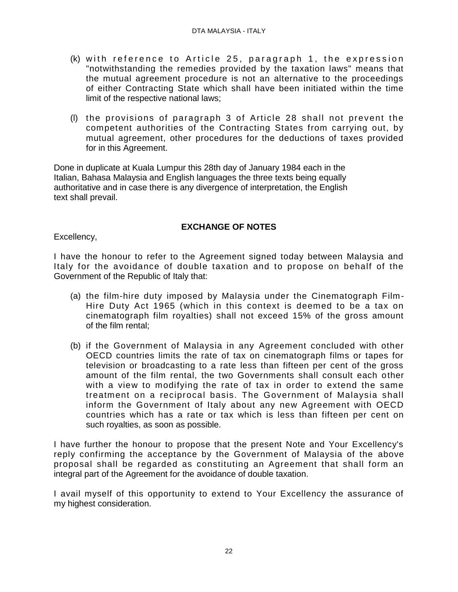- (k) with reference to Article 25, paragraph 1, the expression "notwithstanding the remedies provided by the taxation laws" means that the mutual agreement procedure is not an alternative to the proceedings of either Contracting State which shall have been initiated within the time limit of the respective national laws;
- (l) the provisions of paragraph 3 of Article 28 shall not prevent the competent authorities of the Contracting States from carrying out, by mutual agreement, other procedures for the deductions of taxes provided for in this Agreement.

Done in duplicate at Kuala Lumpur this 28th day of January 1984 each in the Italian, Bahasa Malaysia and English languages the three texts being equally authoritative and in case there is any divergence of interpretation, the English text shall prevail.

# **EXCHANGE OF NOTES**

Excellency,

I have the honour to refer to the Agreement signed today between Malaysia and Italy for the avoidance of double taxation and to propose on behalf of the Government of the Republic of Italy that:

- (a) the film-hire duty imposed by Malaysia under the Cinematograph Film-Hire Duty Act 1965 (which in this context is deemed to be a tax on cinematograph film royalties) shall not exceed 15% of the gross amount of the film rental;
- (b) if the Government of Malaysia in any Agreement concluded with other OECD countries limits the rate of tax on cinematograph films or tapes for television or broadcasting to a rate less than fifteen per cent of the gross amount of the film rental, the two Governments shall consult each other with a view to modifying the rate of tax in order to extend the same treatment on a reciprocal basis. The Government of Malaysia shall inform the Government of Italy about any new Agreement with OECD countries which has a rate or tax which is less than fifteen per cent on such royalties, as soon as possible.

I have further the honour to propose that the present Note and Your Excellency's reply confirming the acceptance by the Government of Malaysia of the above proposal shall be regarded as constituting an Agreement that shall form an integral part of the Agreement for the avoidance of double taxation.

I avail myself of this opportunity to extend to Your Excellency the assurance of my highest consideration.